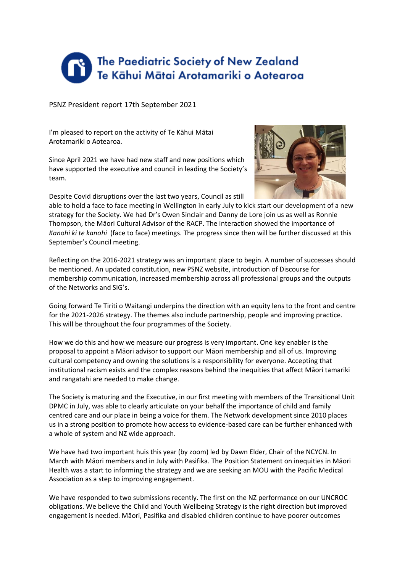

PSNZ President report 17th September 2021

I'm pleased to report on the activity of Te Kāhui Mātai Arotamariki o Aotearoa.

Since April 2021 we have had new staff and new positions which have supported the executive and council in leading the Society's team.

Despite Covid disruptions over the last two years, Council as still



able to hold a face to face meeting in Wellington in early July to kick start our development of a new strategy for the Society. We had Dr's Owen Sinclair and Danny de Lore join us as well as Ronnie Thompson, the Māori Cultural Advisor of the RACP. The interaction showed the importance of *Kanohi ki te kanohi* (face to face) meetings. The progress since then will be further discussed at this September's Council meeting.

Reflecting on the 2016-2021 strategy was an important place to begin. A number of successes should be mentioned. An updated constitution, new PSNZ website, introduction of Discourse for membership communication, increased membership across all professional groups and the outputs of the Networks and SIG's.

Going forward Te Tiriti o Waitangi underpins the direction with an equity lens to the front and centre for the 2021-2026 strategy. The themes also include partnership, people and improving practice. This will be throughout the four programmes of the Society.

How we do this and how we measure our progress is very important. One key enabler is the proposal to appoint a Māori advisor to support our Māori membership and all of us. Improving cultural competency and owning the solutions is a responsibility for everyone. Accepting that institutional racism exists and the complex reasons behind the inequities that affect Māori tamariki and rangatahi are needed to make change.

The Society is maturing and the Executive, in our first meeting with members of the Transitional Unit DPMC in July, was able to clearly articulate on your behalf the importance of child and family centred care and our place in being a voice for them. The Network development since 2010 places us in a strong position to promote how access to evidence-based care can be further enhanced with a whole of system and NZ wide approach.

We have had two important huis this year (by zoom) led by Dawn Elder, Chair of the NCYCN. In March with Māori members and in July with Pasifika. The Position Statement on inequities in Māori Health was a start to informing the strategy and we are seeking an MOU with the Pacific Medical Association as a step to improving engagement.

We have responded to two submissions recently. The first on the NZ performance on our UNCROC obligations. We believe the Child and Youth Wellbeing Strategy is the right direction but improved engagement is needed. Māori, Pasifika and disabled children continue to have poorer outcomes